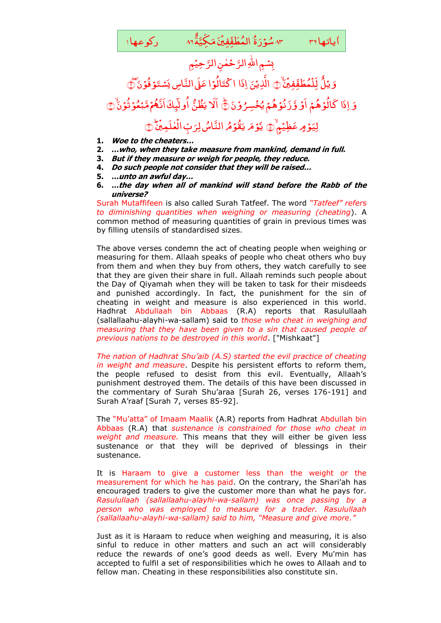

- **1. Woe to the cheaters…**
- **2. …who, when they take measure from mankind, demand in full.**
- **3. But if they measure or weigh for people, they reduce.**
- **4. Do such people not consider that they will be raised…**
- **5. …unto an awful day…**
- **6. …the day when all of mankind will stand before the Rabb of the universe?**

Surah Mutaffifeen is also called Surah Tatfeef. The word *"Tatfeef" refers to diminishing quantities when weighing or measuring (cheating*). A common method of measuring quantities of grain in previous times was by filling utensils of standardised sizes.

The above verses condemn the act of cheating people when weighing or measuring for them. Allaah speaks of people who cheat others who buy from them and when they buy from others, they watch carefully to see that they are given their share in full. Allaah reminds such people about the Day of Qiyamah when they will be taken to task for their misdeeds and punished accordingly. In fact, the punishment for the sin of cheating in weight and measure is also experienced in this world. Hadhrat Abdullaah bin Abbaas (R.A) reports that Rasulullaah (sallallaahu-alayhi-wa-sallam) said to *those who cheat in weighing and measuring that they have been given to a sin that caused people of previous nations to be destroyed in this world*. ["Mishkaat"]

*The nation of Hadhrat Shu'aib (A.S) started the evil practice of cheating in weight and measure*. Despite his persistent efforts to reform them, the people refused to desist from this evil. Eventually, Allaah's punishment destroyed them. The details of this have been discussed in the commentary of Surah Shu'araa [Surah 26, verses 176-191] and Surah A'raaf [Surah 7, verses 85-92].

The "Mu'atta" of Imaam Maalik (A.R) reports from Hadhrat Abdullah bin Abbaas (R.A) that *sustenance is constrained for those who cheat in weight and measure.* This means that they will either be given less sustenance or that they will be deprived of blessings in their sustenance.

It is Haraam to give a customer less than the weight or the measurement for which he has paid. On the contrary, the Shari'ah has encouraged traders to give the customer more than what he pays for. *Rasulullaah (sallallaahu-alayhi-wa-sallam) was once passing by a person who was employed to measure for a trader. Rasulullaah (sallallaahu-alayhi-wa-sallam) said to him, "Measure and give more."* 

Just as it is Haraam to reduce when weighing and measuring, it is also sinful to reduce in other matters and such an act will considerably reduce the rewards of one's good deeds as well. Every Mu'min has accepted to fulfil a set of responsibilities which he owes to Allaah and to fellow man. Cheating in these responsibilities also constitute sin.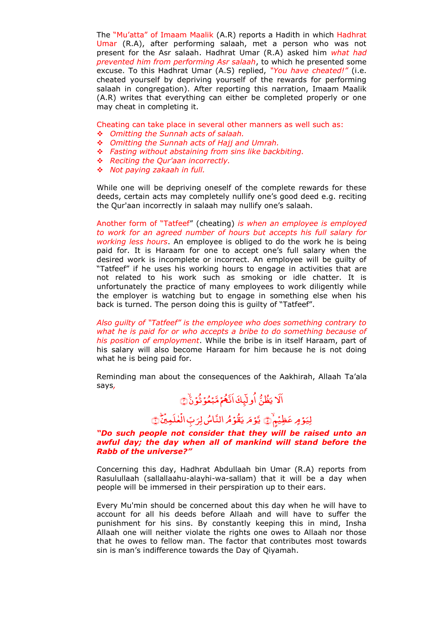The "Mu'atta" of Imaam Maalik (A.R) reports a Hadith in which Hadhrat Umar (R.A), after performing salaah, met a person who was not present for the Asr salaah. Hadhrat Umar (R.A) asked him *what had prevented him from performing Asr salaah*, to which he presented some excuse. To this Hadhrat Umar (A.S) replied, *"You have cheated!"* (i.e. cheated yourself by depriving yourself of the rewards for performing salaah in congregation). After reporting this narration, Imaam Maalik (A.R) writes that everything can either be completed properly or one may cheat in completing it.

Cheating can take place in several other manners as well such as:

- *Omitting the Sunnah acts of salaah.*
- *Omitting the Sunnah acts of Hajj and Umrah.*
- *Fasting without abstaining from sins like backbiting.*
- *Reciting the Qur'aan incorrectly.*
- *Not paying zakaah in full.*

While one will be depriving oneself of the complete rewards for these deeds, certain acts may completely nullify one's good deed e.g. reciting the Qur'aan incorrectly in salaah may nullify one's salaah.

Another form of "Tatfeef" (cheating) *is when an employee is employed to work for an agreed number of hours but accepts his full salary for working less hours*. An employee is obliged to do the work he is being paid for. It is Haraam for one to accept one's full salary when the desired work is incomplete or incorrect. An employee will be guilty of "Tatfeef" if he uses his working hours to engage in activities that are not related to his work such as smoking or idle chatter. It is unfortunately the practice of many employees to work diligently while the employer is watching but to engage in something else when his back is turned. The person doing this is guilty of "Tatfeef".

*Also guilty of "Tatfeef" is the employee who does something contrary to what he is paid for or who accepts a bribe to do something because of his position of employment*. While the bribe is in itself Haraam, part of his salary will also become Haraam for him because he is not doing what he is being paid for.

Reminding man about the consequences of the Aakhirah, Allaah Ta'ala says*,*

# اَلَا يَظُنُّ اُوليِّكَ اَنَّهُمَ مَّبْعُوَ ثُوَنَۙ۞

### لِیَوۡ مِ عَظِیۡمٖؕ ﴾ یَٓوۡ مَ یَقُوۡمُ النَّاسُ لِرَبِّ الۡعٰلَمِیۡنَٰۡ ؚ<br>، ڶڂڶڝؚؿ<sup>۬</sup> رَبِّ ال يَّوۡ*مَ* يَقُوۡمُ النَّاسُ لِرَبِّ الۡعٰلَمِيۡنَؕ۞

## *"Do such people not consider that they will be raised unto an awful day; the day when all of mankind will stand before the Rabb of the universe?"*

Concerning this day, Hadhrat Abdullaah bin Umar (R.A) reports from Rasulullaah (sallallaahu-alayhi-wa-sallam) that it will be a day when people will be immersed in their perspiration up to their ears.

Every Mu'min should be concerned about this day when he will have to account for all his deeds before Allaah and will have to suffer the punishment for his sins. By constantly keeping this in mind, Insha Allaah one will neither violate the rights one owes to Allaah nor those that he owes to fellow man. The factor that contributes most towards sin is man's indifference towards the Day of Qiyamah.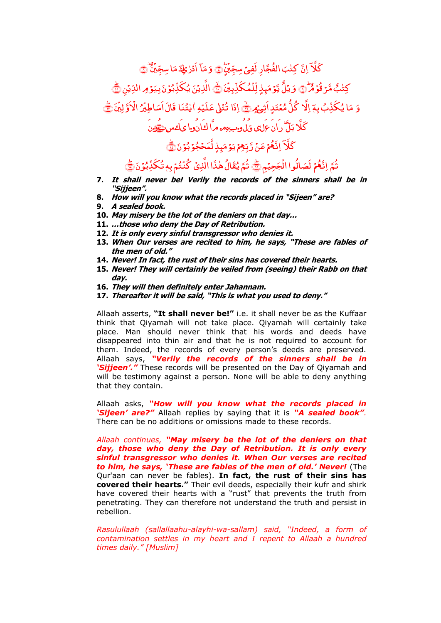ِ<br>س كَلاً إِنَّ كِتْبَ الفُجَّارِ لَفِيٍّ سِجِّيْنٍ , الفُجَّارِ لَفِيٍّ سِجِّيَنٍ اِنَّ كِتٰبَ الفُجَّارِ لَفِيٍّ سِجِّيَّ ر<br>ب وَمَآ اَدۡرٰعِكَ مَا سِجِّيۡنَّ ِّۡی ا ِس َ م َ ﴾۸﴿﴿ؕ كِتٰبُ مَّرۡ قُوۡهُمْ ۖ وَ يُلُّ يَّوۡمَبِذٍ لِّلۡمُكَٰذِّبِينَ , مُکَذِّبِیۡنَ ْ یَّ<mark>وۡ</mark>مَیٖذٍ لِّلۡ ٌ وَ یُلُّ یَوۡمَیۡذِ لِّلۡمُکَذِّبِیۡنَۖ یَّ الَّذِیۡنَ یُکَذِّبُوۡنَ بِیَوۡمِ الدِّیۡنِ یَّ وَ مَا يُكَذِّبُ بِمَ إِلَّا كُلُّ مُعۡتَدٍ اَشِيۡهِ ﴾ إِذَا تُتَلىٰ عَلَيۡهِ النُّنَا قَالَ اَسَاطِيۡنُ الۡاَوَّلِيۡنَ ٰ , لِۡی َّ َو ْ اَل ُ .<br>, قَالَ اُسَاطِيَٰ الْأَوَّلِينَ ﴾ ْ كَلَّا بَلٌّ ران عِلی قلومِبِ مِهِ مِرَا كِان وا يَ كِس شَيْرَن

ِ<br>پ كَلَّآ اِنَّهُمۡ عَنۡ رَّبِّهِمۡ يَوۡمَبِذٍ لَّمَحۡجُوۡ بُوۡنَ ۚ فَقَ

ثُمَّ إِنَّهُمْ لَصَالُوا الْجَحِيْمِ ْ لَعَبالُوا الْجَحِيۡمِ ﴾ ثُمَّ يُقَالُ هٰذَا الَّذِىۡ كُنۡتُمۡ بِهٖ تُكَذِّبُوۡنَ ﴾

- **7. It shall never be! Verily the records of the sinners shall be in "Sijjeen".**
- **8. How will you know what the records placed in "Sijeen" are?**
- **9. A sealed book.**
- **10. May misery be the lot of the deniers on that day…**
- **11. …those who deny the Day of Retribution.**
- **12. It is only every sinful transgressor who denies it.**
- **13. When Our verses are recited to him, he says, "These are fables of the men of old."**
- **14. Never! In fact, the rust of their sins has covered their hearts.**
- **15. Never! They will certainly be veiled from (seeing) their Rabb on that day.**
- **16. They will then definitely enter Jahannam.**
- **17. Thereafter it will be said, "This is what you used to deny."**

Allaah asserts, **"It shall never be!"** i.e. it shall never be as the Kuffaar think that Qiyamah will not take place. Qiyamah will certainly take place. Man should never think that his words and deeds have disappeared into thin air and that he is not required to account for them. Indeed, the records of every person's deeds are preserved. Allaah says, *"Verily the records of the sinners shall be in "Sijjeen"."* These records will be presented on the Day of Qiyamah and will be testimony against a person. None will be able to deny anything that they contain.

Allaah asks, *"How will you know what the records placed in "Sijeen" are?"* Allaah replies by saying that it is *"A sealed book".* There can be no additions or omissions made to these records.

*Allaah continues, "May misery be the lot of the deniers on that day, those who deny the Day of Retribution. It is only every sinful transgressor who denies it. When Our verses are recited to him, he says, "These are fables of the men of old." Never!* (The Qur'aan can never be fables). **In fact, the rust of their sins has covered their hearts."** Their evil deeds, especially their kufr and shirk have covered their hearts with a "rust" that prevents the truth from penetrating. They can therefore not understand the truth and persist in rebellion.

*Rasulullaah (sallallaahu-alayhi-wa-sallam) said, "Indeed, a form of contamination settles in my heart and I repent to Allaah a hundred times daily." [Muslim]*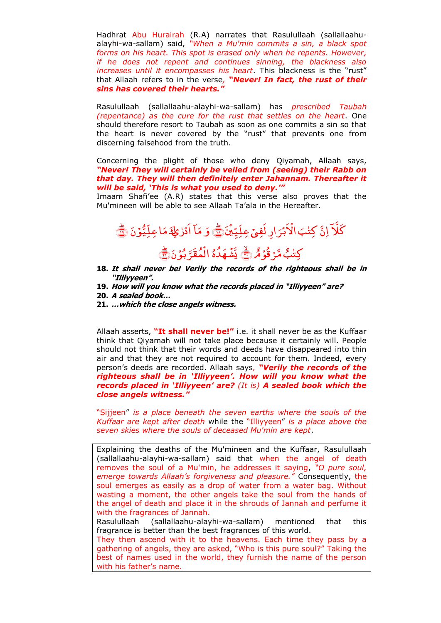Hadhrat Abu Hurairah (R.A) narrates that Rasulullaah (sallallaahualayhi-wa-sallam) said, *"When a Mu'min commits a sin, a black spot forms on his heart. This spot is erased only when he repents. However, if he does not repent and continues sinning, the blackness also increases until it encompasses his heart*. This blackness is the "rust" that Allaah refers to in the verse*, "Never! In fact, the rust of their sins has covered their hearts."*

Rasulullaah (sallallaahu-alayhi-wa-sallam) has *prescribed Taubah (repentance) as the cure for the rust that settles on the heart*. One should therefore resort to Taubah as soon as one commits a sin so that the heart is never covered by the "rust" that prevents one from discerning falsehood from the truth.

Concerning the plight of those who deny Qiyamah, Allaah says, *"Never! They will certainly be veiled from (seeing) their Rabb on that day. They will then definitely enter Jahannam. Thereafter it will be said, "This is what you used to deny.""*

Imaam Shafi'ee (A.R) states that this verse also proves that the Mu'mineen will be able to see Allaah Ta'ala in the Hereafter.

#### ِ<br>س َکَلاً اِنَّ کِتْبَ الْاَبْرَارِ لَفِیْ عِلَّیِّیْنَ **ّ** ارِ لَفِ*یْ عِ*لِّیِّی*ْذَ* َ .<br>بش ْ اَل اِنَّ كِتْبَ الْأَبْرَارِ لَفِيٍّ عِلِّيِّيْنَ <mark>کَ</mark> َ و .<br>ب ا ام<br>ا مَآ اَدۡرٰٰعِكَ مَا عِلّٰٓيُّوۡنَ مَاعِلِّيُ<mark>و</mark>ۡنَ م َ ﴾۱۹ ﴿ؕ ﴿ كِتْبُ مَّرْ قُوَْهُ (يَنَّ يَّشُهَدُهُ ہ ُ د َ ہ ْ َّش َ و<br>بۇن َّ َل ُ م ْ الْمُقَرَّ بُوۡ نَ۞

- **18. It shall never be! Verily the records of the righteous shall be in "Illiyyeen".**
- **19. How will you know what the records placed in "Illiyyeen" are?**
- **20. A sealed book…**
- **21. …which the close angels witness.**

Allaah asserts, **"It shall never be!"** i.e. it shall never be as the Kuffaar think that Qiyamah will not take place because it certainly will. People should not think that their words and deeds have disappeared into thin air and that they are not required to account for them. Indeed, every person's deeds are recorded. Allaah says*, "Verily the records of the righteous shall be in "Illiyyeen". How will you know what the records placed in "Illiyyeen" are? (It is) A sealed book which the close angels witness."* 

"Sijjeen" *is a place beneath the seven earths where the souls of the Kuffaar are kept after death* while the "Illiyyeen" *is a place above the seven skies where the souls of deceased Mu'min are kept*.

Explaining the deaths of the Mu'mineen and the Kuffaar, Rasulullaah (sallallaahu-alayhi-wa-sallam) said that when the angel of death removes the soul of a Mu'min, he addresses it saying, *"O pure soul, emerge towards Allaah's forgiveness and pleasure."* Consequently, the soul emerges as easily as a drop of water from a water bag. Without wasting a moment, the other angels take the soul from the hands of the angel of death and place it in the shrouds of Jannah and perfume it with the fragrances of Jannah.

Rasulullaah (sallallaahu-alayhi-wa-sallam) mentioned that this fragrance is better than the best fragrances of this world.

They then ascend with it to the heavens. Each time they pass by a gathering of angels, they are asked, "Who is this pure soul?" Taking the best of names used in the world, they furnish the name of the person with his father's name.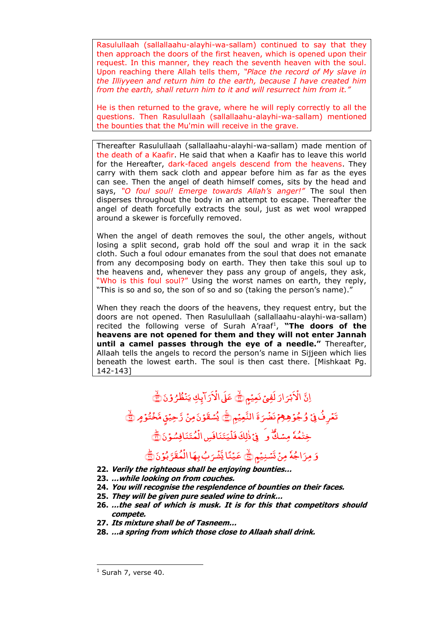Rasulullaah (sallallaahu-alayhi-wa-sallam) continued to say that they then approach the doors of the first heaven, which is opened upon their request. In this manner, they reach the seventh heaven with the soul. Upon reaching there Allah tells them, *"Place the record of My slave in the Illiyyeen and return him to the earth, because I have created him from the earth, shall return him to it and will resurrect him from it."* 

He is then returned to the grave, where he will reply correctly to all the questions. Then Rasulullaah (sallallaahu-alayhi-wa-sallam) mentioned the bounties that the Mu'min will receive in the grave.

Thereafter Rasulullaah (sallallaahu-alayhi-wa-sallam) made mention of the death of a Kaafir. He said that when a Kaafir has to leave this world for the Hereafter, dark-faced angels descend from the heavens. They carry with them sack cloth and appear before him as far as the eyes can see. Then the angel of death himself comes, sits by the head and says, *"O foul soul! Emerge towards Allah's anger!"* The soul then disperses throughout the body in an attempt to escape. Thereafter the angel of death forcefully extracts the soul, just as wet wool wrapped around a skewer is forcefully removed.

When the angel of death removes the soul, the other angels, without losing a split second, grab hold off the soul and wrap it in the sack cloth. Such a foul odour emanates from the soul that does not emanate from any decomposing body on earth. They then take this soul up to the heavens and, whenever they pass any group of angels, they ask, "Who is this foul soul?" Using the worst names on earth, they reply, "This is so and so, the son of so and so (taking the person's name)."

When they reach the doors of the heavens, they request entry, but the doors are not opened. Then Rasulullaah (sallallaahu-alayhi-wa-sallam) recited the following verse of Surah A'raaf<sup>1</sup>, "The doors of the **heavens are not opened for them and they will not enter Jannah until a camel passes through the eye of a needle."** Thereafter, Allaah tells the angels to record the person's name in Sijjeen which lies beneath the lowest earth. The soul is then cast there. [Mishkaat Pg. 142-143]

#### اِنَّ الْکَبْرَارَ لَفِیۡ نَعِیۡمٖٖ َ .<br>بش ْ الْاَبْرَارَ لَفِيۡ نَعِيۡمٍ کَ عَلَى الْاَرَآبِكِ يَنۡظُرُوۡنَ ُ ر<br>رايكِ يَنْظُرُ ْ عَلَىٰ الْأَرَآبِكِ يَنْظُرُوْنَ ٢ تَعۡرِفُۚ فِیۡ وُجُوۡ هِعۡمۡ نَضۡرَۃَ َ ل ْ وُجُوْهِمْ نَضْرَةَ النَّعِيْمِ ﴾ يُسْقَوْنَ مِنْ رَّحِيْقٍ مَّخْتُوُمٍ ﴾ فِتْمُهٗ مِسْكٌ وَ ۖ فِيۡ ذٰٰلِكَ فَلۡيَتَنَافَسِ الۡمُتَنَافِسُوۡنَ ْ يَتَنَافَسِ الْ ْ فِيۡ ذٰٰلِكَ فَلۡيَتَنَافَسِ الۡمُتَنَافِسُوۡنَ ٢َ ٰ وَ مِرَاجُهٗ مِنْ تَسۡنِيۡمٍ کَٓ عَيۡنَا يَّشۡرَبُ بِهَا الۡمُقَرَّبُوۡنَ ْ بُ بِهَا الَ ل ْ عَيۡنَا يَّشۡرَبُ بِهَا الۡمُقَرَّبُوۡنَ ﴾

- َ **22. Verily the righteous shall be enjoying bounties…**
- **23. …while looking on from couches.**
- **24. You will recognise the resplendence of bounties on their faces.**
- **25. They will be given pure sealed wine to drink…**
- **26. …the seal of which is musk. It is for this that competitors should compete.**
- **27. Its mixture shall be of Tasneem…**
- **28. …a spring from which those close to Allaah shall drink.**

-

 $<sup>1</sup>$  Surah 7, verse 40.</sup>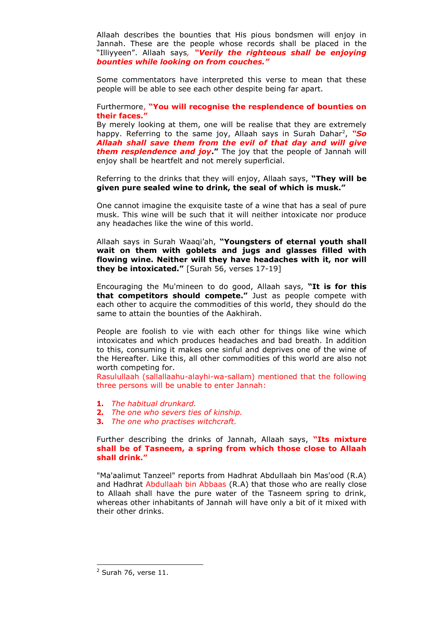Allaah describes the bounties that His pious bondsmen will enjoy in Jannah. These are the people whose records shall be placed in the "Illiyyeen". Allaah says*, "Verily the righteous shall be enjoying bounties while looking on from couches."* 

Some commentators have interpreted this verse to mean that these people will be able to see each other despite being far apart.

### Furthermore, **"You will recognise the resplendence of bounties on their faces."**

By merely looking at them, one will be realise that they are extremely happy. Referring to the same joy, Allaah says in Surah Dahar<sup>2</sup>, "So *Allaah shall save them from the evil of that day and will give them resplendence and joy***."** The joy that the people of Jannah will enjoy shall be heartfelt and not merely superficial.

Referring to the drinks that they will enjoy, Allaah says, **"They will be given pure sealed wine to drink, the seal of which is musk."** 

One cannot imagine the exquisite taste of a wine that has a seal of pure musk. This wine will be such that it will neither intoxicate nor produce any headaches like the wine of this world.

Allaah says in Surah Waaqi'ah, **"Youngsters of eternal youth shall wait on them with goblets and jugs and glasses filled with flowing wine. Neither will they have headaches with it, nor will they be intoxicated."** [Surah 56, verses 17-19]

Encouraging the Mu'mineen to do good, Allaah says, **"It is for this that competitors should compete."** Just as people compete with each other to acquire the commodities of this world, they should do the same to attain the bounties of the Aakhirah.

People are foolish to vie with each other for things like wine which intoxicates and which produces headaches and bad breath. In addition to this, consuming it makes one sinful and deprives one of the wine of the Hereafter. Like this, all other commodities of this world are also not worth competing for.

Rasulullaah (sallallaahu-alayhi-wa-sallam) mentioned that the following three persons will be unable to enter Jannah:

- **1.** *The habitual drunkard.*
- **2.** *The one who severs ties of kinship.*
- **3.** *The one who practises witchcraft.*

## Further describing the drinks of Jannah, Allaah says, **"Its mixture shall be of Tasneem, a spring from which those close to Allaah shall drink."**

"Ma'aalimut Tanzeel" reports from Hadhrat Abdullaah bin Mas'ood (R.A) and Hadhrat Abdullaah bin Abbaas (R.A) that those who are really close to Allaah shall have the pure water of the Tasneem spring to drink, whereas other inhabitants of Jannah will have only a bit of it mixed with their other drinks.

-

 $2$  Surah 76, verse 11.